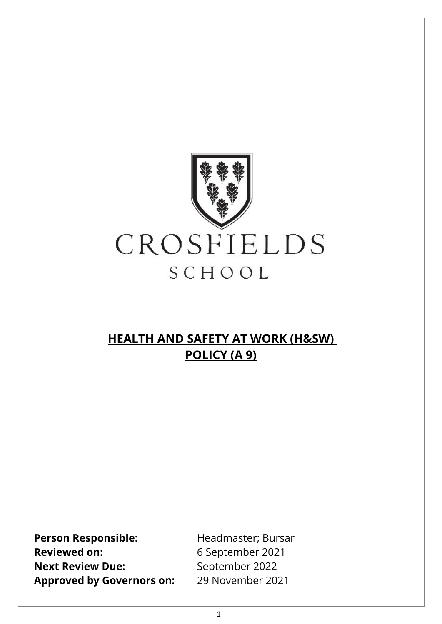

# **HEALTH AND SAFETY AT WORK (H&SW) POLICY (A 9)**

Person Responsible: Headmaster; Bursar Reviewed on: 6 September 2021 **Next Review Due:** September 2022 **Approved by Governors on:** 29 November 2021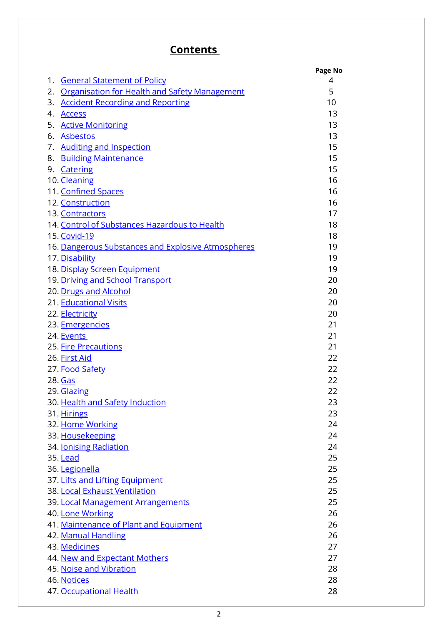# **Contents**

|    |                                                      | Page No |
|----|------------------------------------------------------|---------|
| 1. | <b>General Statement of Policy</b>                   | 4       |
| 2. | <b>Organisation for Health and Safety Management</b> | 5       |
| 3. | <b>Accident Recording and Reporting</b>              | 10      |
| 4. | <b>Access</b>                                        | 13      |
| 5. | <b>Active Monitoring</b>                             | 13      |
| 6. | <b>Asbestos</b>                                      | 13      |
| 7. | <b>Auditing and Inspection</b>                       | 15      |
| 8. | <b>Building Maintenance</b>                          | 15      |
|    | 9. Catering                                          | 15      |
|    | 10. Cleaning                                         | 16      |
|    | 11. Confined Spaces                                  | 16      |
|    | 12. Construction                                     | 16      |
|    |                                                      |         |
|    | 13. Contractors                                      | 17      |
|    | 14. Control of Substances Hazardous to Health        | 18      |
|    | 15. Covid-19                                         | 18      |
|    | 16. Dangerous Substances and Explosive Atmospheres   | 19      |
|    | 17. Disability                                       | 19      |
|    | 18. Display Screen Equipment                         | 19      |
|    | 19. Driving and School Transport                     | 20      |
|    | 20. Drugs and Alcohol                                | 20      |
|    | 21. Educational Visits                               | 20      |
|    | 22. Electricity                                      | 20      |
|    | 23. Emergencies                                      | 21      |
|    | 24. Events                                           | 21      |
|    | 25. Fire Precautions                                 | 21      |
|    | 26. First Aid                                        | 22      |
|    | 27. Food Safety                                      | 22      |
|    | 28. Gas                                              | 22      |
|    | 29. Glazing                                          | 22      |
|    | 30. Health and Safety Induction                      | 23      |
|    | 31. Hirings                                          | 23      |
|    | 32. Home Working                                     | 24      |
|    | 33. Housekeeping                                     | 24      |
|    | 34. <b>Jonising Radiation</b>                        | 24      |
|    |                                                      | 25      |
|    | 35. Lead                                             |         |
|    | 36. Legionella                                       | 25      |
|    | 37. Lifts and Lifting Equipment                      | 25      |
|    | 38. Local Exhaust Ventilation                        | 25      |
|    | 39. Local Management Arrangements                    | 25      |
|    | 40. Lone Working                                     | 26      |
|    | 41. Maintenance of Plant and Equipment               | 26      |
|    | 42. Manual Handling                                  | 26      |
|    | 43. Medicines                                        | 27      |
|    | 44. New and Expectant Mothers                        | 27      |
|    | 45. Noise and Vibration                              | 28      |
|    | 46. Notices                                          | 28      |
|    | 47. Occupational Health                              | 28      |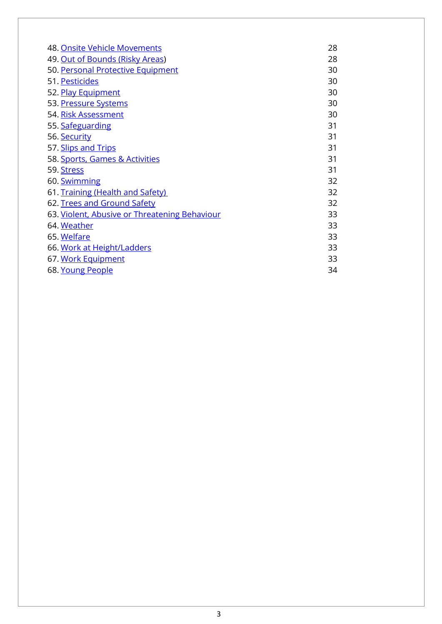| 48. Onsite Vehicle Movements                  | 28 |
|-----------------------------------------------|----|
| 49. Out of Bounds (Risky Areas)               | 28 |
| 50. Personal Protective Equipment             | 30 |
| 51. Pesticides                                | 30 |
| 52. Play Equipment                            | 30 |
| 53. Pressure Systems                          | 30 |
| 54. Risk Assessment                           | 30 |
| 55. Safeguarding                              | 31 |
| 56. Security                                  | 31 |
| 57. Slips and Trips                           | 31 |
| 58. Sports, Games & Activities                | 31 |
| 59. Stress                                    | 31 |
| 60. Swimming                                  | 32 |
| 61. Training (Health and Safety)              | 32 |
| 62. Trees and Ground Safety                   | 32 |
| 63. Violent, Abusive or Threatening Behaviour | 33 |
| 64. Weather                                   | 33 |
| 65. Welfare                                   | 33 |
| 66. Work at Height/Ladders                    | 33 |
| 67. Work Equipment                            | 33 |
| 68. Young People                              | 34 |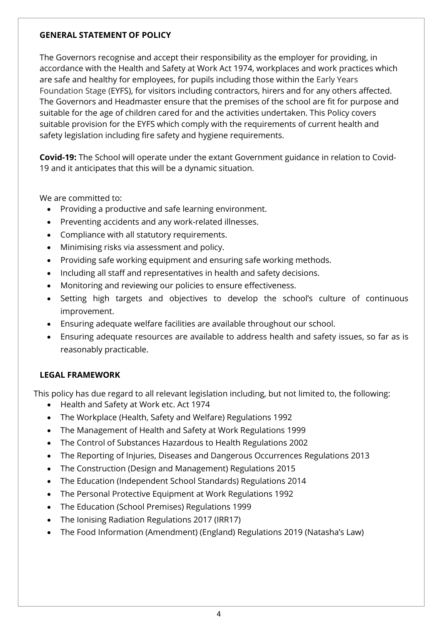#### <span id="page-3-0"></span>**GENERAL STATEMENT OF POLICY**

The Governors recognise and accept their responsibility as the employer for providing, in accordance with the Health and Safety at Work Act 1974, workplaces and work practices which are safe and healthy for employees, for pupils including those within the Early Years Foundation Stage (EYFS), for visitors including contractors, hirers and for any others affected. The Governors and Headmaster ensure that the premises of the school are fit for purpose and suitable for the age of children cared for and the activities undertaken. This Policy covers suitable provision for the EYFS which comply with the requirements of current health and safety legislation including fire safety and hygiene requirements.

**Covid-19:** The School will operate under the extant Government guidance in relation to Covid-19 and it anticipates that this will be a dynamic situation.

We are committed to:

- Providing a productive and safe learning environment.
- Preventing accidents and any work-related illnesses.
- Compliance with all statutory requirements.
- Minimising risks via assessment and policy.
- Providing safe working equipment and ensuring safe working methods.
- Including all staff and representatives in health and safety decisions.
- Monitoring and reviewing our policies to ensure effectiveness.
- Setting high targets and objectives to develop the school's culture of continuous improvement.
- Ensuring adequate welfare facilities are available throughout our school.
- Ensuring adequate resources are available to address health and safety issues, so far as is reasonably practicable.

#### **LEGAL FRAMEWORK**

This policy has due regard to all relevant legislation including, but not limited to, the following:

- Health and Safety at Work etc. Act 1974
- The Workplace (Health, Safety and Welfare) Regulations 1992
- The Management of Health and Safety at Work Regulations 1999
- The Control of Substances Hazardous to Health Regulations 2002
- The Reporting of Injuries, Diseases and Dangerous Occurrences Regulations 2013
- The Construction (Design and Management) Regulations 2015
- The Education (Independent School Standards) Regulations 2014
- The Personal Protective Equipment at Work Regulations 1992
- The Education (School Premises) Regulations 1999
- The Ionising Radiation Regulations 2017 (IRR17)
- The Food Information (Amendment) (England) Regulations 2019 (Natasha's Law)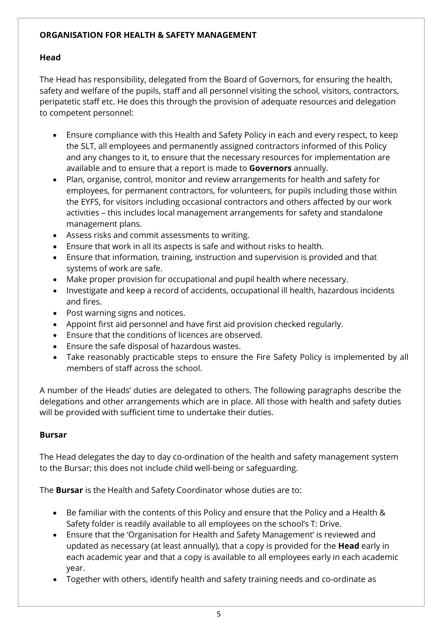### <span id="page-4-0"></span>**ORGANISATION FOR HEALTH & SAFETY MANAGEMENT**

# **Head**

The Head has responsibility, delegated from the Board of Governors, for ensuring the health, safety and welfare of the pupils, staff and all personnel visiting the school, visitors, contractors, peripatetic staff etc. He does this through the provision of adequate resources and delegation to competent personnel:

- Ensure compliance with this Health and Safety Policy in each and every respect, to keep the SLT, all employees and permanently assigned contractors informed of this Policy and any changes to it, to ensure that the necessary resources for implementation are available and to ensure that a report is made to **Governors** annually.
- Plan, organise, control, monitor and review arrangements for health and safety for employees, for permanent contractors, for volunteers, for pupils including those within the EYFS, for visitors including occasional contractors and others affected by our work activities – this includes local management arrangements for safety and standalone management plans.
- Assess risks and commit assessments to writing.
- Ensure that work in all its aspects is safe and without risks to health.
- Ensure that information, training, instruction and supervision is provided and that systems of work are safe.
- Make proper provision for occupational and pupil health where necessary.
- Investigate and keep a record of accidents, occupational ill health, hazardous incidents and fires.
- Post warning signs and notices.
- Appoint first aid personnel and have first aid provision checked regularly.
- Ensure that the conditions of licences are observed.
- Ensure the safe disposal of hazardous wastes.
- Take reasonably practicable steps to ensure the Fire Safety Policy is implemented by all members of staff across the school.

A number of the Heads' duties are delegated to others. The following paragraphs describe the delegations and other arrangements which are in place. All those with health and safety duties will be provided with sufficient time to undertake their duties.

#### **Bursar**

The Head delegates the day to day co-ordination of the health and safety management system to the Bursar; this does not include child well-being or safeguarding.

The **Bursar** is the Health and Safety Coordinator whose duties are to:

- Be familiar with the contents of this Policy and ensure that the Policy and a Health & Safety folder is readily available to all employees on the school's T: Drive.
- Ensure that the 'Organisation for Health and Safety Management' is reviewed and updated as necessary (at least annually), that a copy is provided for the **Head** early in each academic year and that a copy is available to all employees early in each academic year.
- Together with others, identify health and safety training needs and co-ordinate as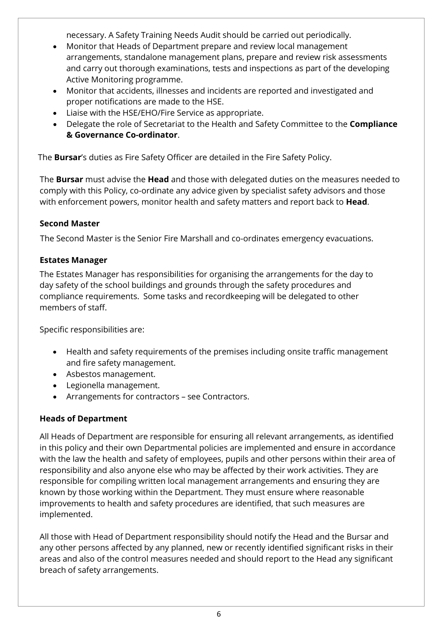necessary. A Safety Training Needs Audit should be carried out periodically.

- Monitor that Heads of Department prepare and review local management arrangements, standalone management plans, prepare and review risk assessments and carry out thorough examinations, tests and inspections as part of the developing Active Monitoring programme.
- Monitor that accidents, illnesses and incidents are reported and investigated and proper notifications are made to the HSE.
- Liaise with the HSE/EHO/Fire Service as appropriate.
- Delegate the role of Secretariat to the Health and Safety Committee to the **Compliance & Governance Co-ordinator**.

The **Bursar**'s duties as Fire Safety Officer are detailed in the Fire Safety Policy.

The **Bursar** must advise the **Head** and those with delegated duties on the measures needed to comply with this Policy, co-ordinate any advice given by specialist safety advisors and those with enforcement powers, monitor health and safety matters and report back to **Head**.

# **Second Master**

The Second Master is the Senior Fire Marshall and co-ordinates emergency evacuations.

# **Estates Manager**

The Estates Manager has responsibilities for organising the arrangements for the day to day safety of the school buildings and grounds through the safety procedures and compliance requirements. Some tasks and recordkeeping will be delegated to other members of staff.

Specific responsibilities are:

- Health and safety requirements of the premises including onsite traffic management and fire safety management.
- Asbestos management.
- Legionella management.
- Arrangements for contractors see Contractors.

# **Heads of Department**

All Heads of Department are responsible for ensuring all relevant arrangements, as identified in this policy and their own Departmental policies are implemented and ensure in accordance with the law the health and safety of employees, pupils and other persons within their area of responsibility and also anyone else who may be affected by their work activities. They are responsible for compiling written local management arrangements and ensuring they are known by those working within the Department. They must ensure where reasonable improvements to health and safety procedures are identified, that such measures are implemented.

All those with Head of Department responsibility should notify the Head and the Bursar and any other persons affected by any planned, new or recently identified significant risks in their areas and also of the control measures needed and should report to the Head any significant breach of safety arrangements.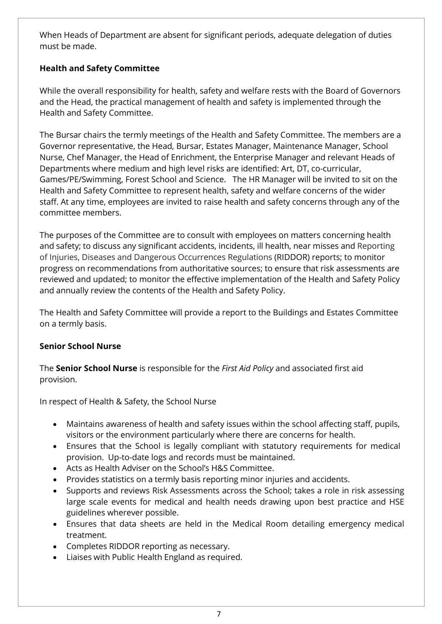When Heads of Department are absent for significant periods, adequate delegation of duties must be made.

# **Health and Safety Committee**

While the overall responsibility for health, safety and welfare rests with the Board of Governors and the Head, the practical management of health and safety is implemented through the Health and Safety Committee.

The Bursar chairs the termly meetings of the Health and Safety Committee. The members are a Governor representative, the Head, Bursar, Estates Manager, Maintenance Manager, School Nurse, Chef Manager, the Head of Enrichment, the Enterprise Manager and relevant Heads of Departments where medium and high level risks are identified: Art, DT, co-curricular, Games/PE/Swimming, Forest School and Science. The HR Manager will be invited to sit on the Health and Safety Committee to represent health, safety and welfare concerns of the wider staff. At any time, employees are invited to raise health and safety concerns through any of the committee members.

The purposes of the Committee are to consult with employees on matters concerning health and safety; to discuss any significant accidents, incidents, ill health, near misses and Reporting of Injuries, Diseases and Dangerous Occurrences Regulations (RIDDOR) reports; to monitor progress on recommendations from authoritative sources; to ensure that risk assessments are reviewed and updated; to monitor the effective implementation of the Health and Safety Policy and annually review the contents of the Health and Safety Policy.

The Health and Safety Committee will provide a report to the Buildings and Estates Committee on a termly basis.

# **Senior School Nurse**

The **Senior School Nurse** is responsible for the *First Aid Policy* and associated first aid provision.

In respect of Health & Safety, the School Nurse

- Maintains awareness of health and safety issues within the school affecting staff, pupils, visitors or the environment particularly where there are concerns for health.
- Ensures that the School is legally compliant with statutory requirements for medical provision. Up-to-date logs and records must be maintained.
- Acts as Health Adviser on the School's H&S Committee.
- Provides statistics on a termly basis reporting minor injuries and accidents.
- Supports and reviews Risk Assessments across the School; takes a role in risk assessing large scale events for medical and health needs drawing upon best practice and HSE guidelines wherever possible.
- Ensures that data sheets are held in the Medical Room detailing emergency medical treatment.
- Completes RIDDOR reporting as necessary.
- Liaises with Public Health England as required.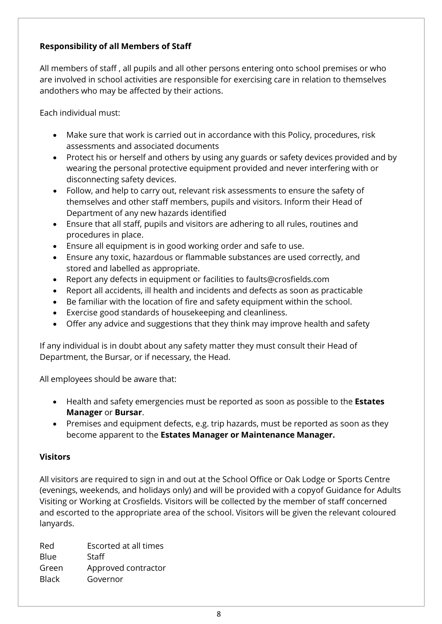# **Responsibility of all Members of Staff**

All members of staff , all pupils and all other persons entering onto school premises or who are involved in school activities are responsible for exercising care in relation to themselves andothers who may be affected by their actions.

Each individual must:

- Make sure that work is carried out in accordance with this Policy, procedures, risk assessments and associated documents
- Protect his or herself and others by using any guards or safety devices provided and by wearing the personal protective equipment provided and never interfering with or disconnecting safety devices.
- Follow, and help to carry out, relevant risk assessments to ensure the safety of themselves and other staff members, pupils and visitors. Inform their Head of Department of any new hazards identified
- Ensure that all staff, pupils and visitors are adhering to all rules, routines and procedures in place.
- Ensure all equipment is in good working order and safe to use.
- Ensure any toxic, hazardous or flammable substances are used correctly, and stored and labelled as appropriate.
- Report any defects in equipment or facilities to [faults@crosfields.com](mailto:faults@crosfields.com)
- Report all accidents, ill health and incidents and defects as soon as practicable
- Be familiar with the location of fire and safety equipment within the school.
- Exercise good standards of housekeeping and cleanliness.
- Offer any advice and suggestions that they think may improve health and safety

If any individual is in doubt about any safety matter they must consult their Head of Department, the Bursar, or if necessary, the Head.

All employees should be aware that:

- Health and safety emergencies must be reported as soon as possible to the **Estates Manager** or **Bursar**.
- Premises and equipment defects, e.g. trip hazards, must be reported as soon as they become apparent to the **Estates Manager or Maintenance Manager.**

#### **Visitors**

All visitors are required to sign in and out at the School Office or Oak Lodge or Sports Centre (evenings, weekends, and holidays only) and will be provided with a copyof Guidance for Adults Visiting or Working at Crosfields. Visitors will be collected by the member of staff concerned and escorted to the appropriate area of the school. Visitors will be given the relevant coloured lanyards.

Red Escorted at all times Blue Staff Green Approved contractor Black Governor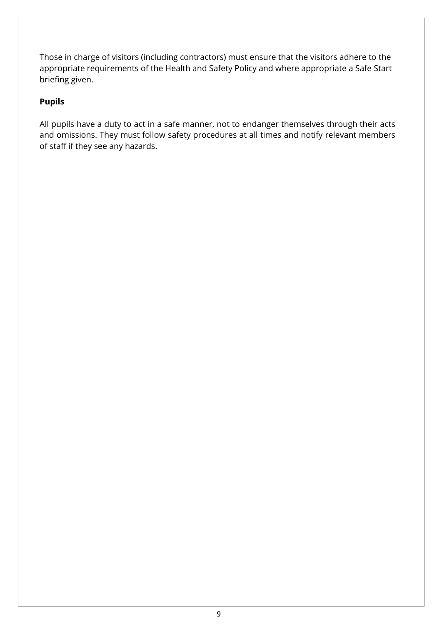Those in charge of visitors (including contractors) must ensure that the visitors adhere to the appropriate requirements of the Health and Safety Policy and where appropriate a Safe Start briefing given.

# **Pupils**

All pupils have a duty to act in a safe manner, not to endanger themselves through their acts and omissions. They must follow safety procedures at all times and notify relevant members of staff if they see any hazards.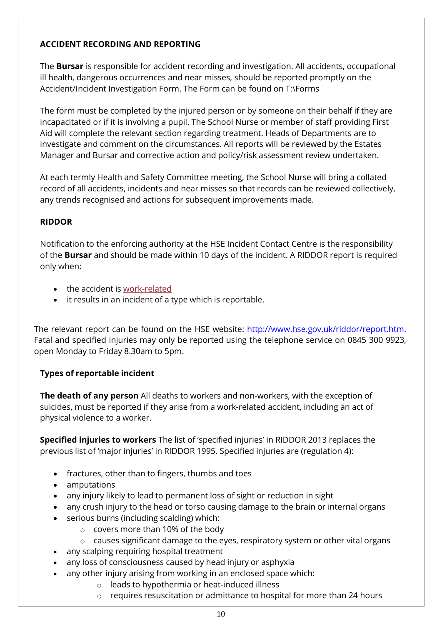# <span id="page-9-0"></span>**ACCIDENT RECORDING AND REPORTING**

The **Bursar** is responsible for accident recording and investigation. All accidents, occupational ill health, dangerous occurrences and near misses, should be reported promptly on the Accident/Incident Investigation Form. The Form can be found on T:\Forms

The form must be completed by the injured person or by someone on their behalf if they are incapacitated or if it is involving a pupil. The School Nurse or member of staff providing First Aid will complete the relevant section regarding treatment. Heads of Departments are to investigate and comment on the circumstances. All reports will be reviewed by the Estates Manager and Bursar and corrective action and policy/risk assessment review undertaken.

At each termly Health and Safety Committee meeting, the School Nurse will bring a collated record of all accidents, incidents and near misses so that records can be reviewed collectively, any trends recognised and actions for subsequent improvements made.

# **RIDDOR**

Notification to the enforcing authority at the HSE Incident Contact Centre is the responsibility of the **Bursar** and should be made within 10 days of the incident. A RIDDOR report is required only when:

- the accident is [work-related](http://www.hse.gov.uk/riddor/key-definitions.htm#work-related)
- it results in an incident of a type which is reportable.

The relevant report can be found on the HSE website: [http://www.hse.gov.uk/riddor/report.htm.](http://www.hse.gov.uk/riddor/report.htm) Fatal and specified injuries may only be reported using the telephone service on 0845 300 9923, open Monday to Friday 8.30am to 5pm.

# **Types of reportable incident**

**The death of any person** All deaths to workers and non-workers, with the exception of suicides, must be reported if they arise from a work-related accident, including an act of physical violence to a worker.

**Specified injuries to workers** The list of 'specified injuries' in RIDDOR 2013 replaces the previous list of 'major injuries' in RIDDOR 1995. Specified injuries are (regulation 4):

- fractures, other than to fingers, thumbs and toes
- amputations
- any injury likely to lead to permanent loss of sight or reduction in sight
- any crush injury to the head or torso causing damage to the brain or internal organs
- serious burns (including scalding) which:
	- o covers more than 10% of the body
	- o causes significant damage to the eyes, respiratory system or other vital organs
- any scalping requiring hospital treatment
- any loss of consciousness caused by head injury or asphyxia
- any other injury arising from working in an enclosed space which:
	- o leads to hypothermia or heat-induced illness
	- o requires resuscitation or admittance to hospital for more than 24 hours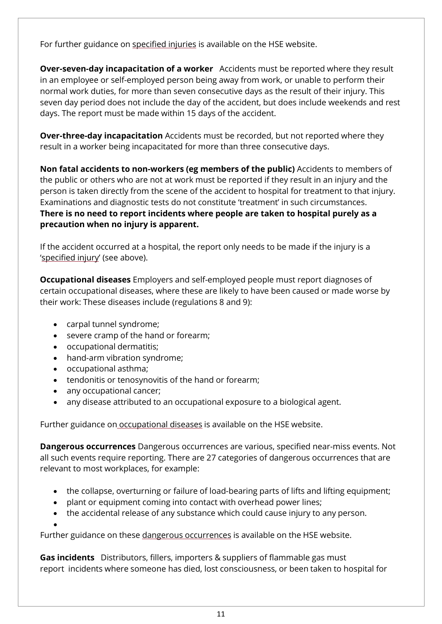For further guidance on [specified](http://www.hse.gov.uk/riddor/specified-injuries.htm) injuries is available on the HSE website.

**Over-seven-day incapacitation of a worker** Accidents must be reported where they result in an employee or self-employed person being away from work, or unable to perform their normal work duties, for more than seven consecutive days as the result of their injury. This seven day period does not include the day of the accident, but does include weekends and rest days. The report must be made within 15 days of the accident.

**Over-three-day incapacitation** Accidents must be recorded, but not reported where they result in a worker being incapacitated for more than three consecutive days.

**Non fatal accidents to non-workers (eg members of the public)** Accidents to members of the public or others who are not at work must be reported if they result in an injury and the person is taken directly from the scene of the accident to hospital for treatment to that injury. Examinations and diagnostic tests do not constitute 'treatment' in such circumstances. **There is no need to report incidents where people are taken to hospital purely as a precaution when no injury is apparent.**

If the accident occurred at a hospital, the report only needs to be made if the injury is a ['specified](http://www.hse.gov.uk/riddor/reportable-incidents.htm#specified) injury' (see above).

**Occupational diseases** Employers and self-employed people must report diagnoses of certain occupational diseases, where these are likely to have been caused or made worse by their work: These diseases include (regulations 8 and 9):

- carpal tunnel syndrome;
- severe cramp of the hand or forearm;
- occupational dermatitis;
- hand-arm vibration syndrome;
- occupational asthma;
- tendonitis or tenosynovitis of the hand or forearm;
- any occupational cancer;
- any disease attributed to an occupational exposure to a biological agent.

Further guidance on [occupational](http://www.hse.gov.uk/riddor/occupational-diseases.htm) diseases is available on the HSE website.

**Dangerous occurrences** Dangerous occurrences are various, specified near-miss events. Not all such events require reporting. There are 27 categories of dangerous occurrences that are relevant to most workplaces, for example:

- the collapse, overturning or failure of load-bearing parts of lifts and lifting equipment;
- plant or equipment coming into contact with overhead power lines;
- the accidental release of any substance which could cause injury to any person.

•

Further guidance on these dangerous [occurrences](http://www.hse.gov.uk/riddor/dangerous-occurences.htm) is available on the HSE website.

**Gas incidents** Distributors, fillers, importers & suppliers of flammable gas must report incidents where someone has died, lost consciousness, or been taken to hospital for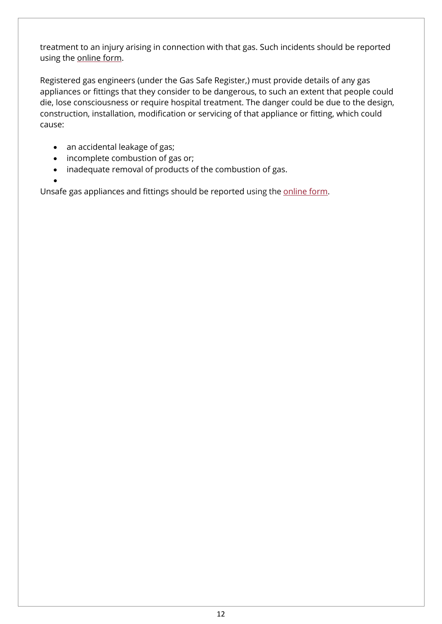treatment to an injury arising in connection with that gas. Such incidents should be reported using the [online](https://extranet.hse.gov.uk/lfserver/external/F2508G1E) form.

Registered gas engineers (under the Gas Safe Register,) must provide details of any gas appliances or fittings that they consider to be dangerous, to such an extent that people could die, lose consciousness or require hospital treatment. The danger could be due to the design, construction, installation, modification or servicing of that appliance or fitting, which could cause:

- an accidental leakage of gas;
- incomplete combustion of gas or;
- inadequate removal of products of the combustion of gas.

• Unsafe gas appliances and fittings should be reported using the [online](https://extranet.hse.gov.uk/lfserver/external/F2508G2E) form.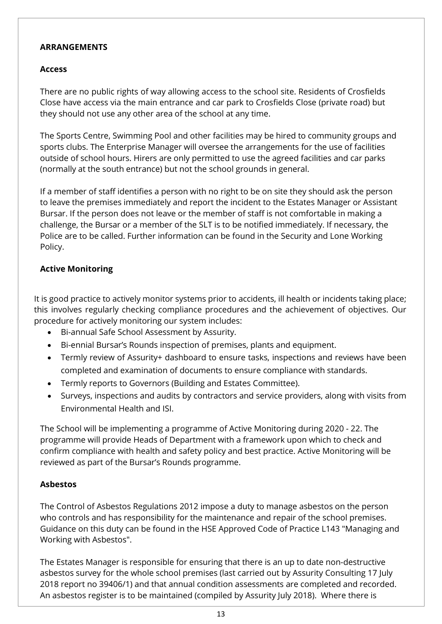#### **ARRANGEMENTS**

### <span id="page-12-0"></span>**Access**

There are no public rights of way allowing access to the school site. Residents of Crosfields Close have access via the main entrance and car park to Crosfields Close (private road) but they should not use any other area of the school at any time.

The Sports Centre, Swimming Pool and other facilities may be hired to community groups and sports clubs. The Enterprise Manager will oversee the arrangements for the use of facilities outside of school hours. Hirers are only permitted to use the agreed facilities and car parks (normally at the south entrance) but not the school grounds in general.

If a member of staff identifies a person with no right to be on site they should ask the person to leave the premises immediately and report the incident to the Estates Manager or Assistant Bursar. If the person does not leave or the member of staff is not comfortable in making a challenge, the Bursar or a member of the SLT is to be notified immediately. If necessary, the Police are to be called. Further information can be found in the Security and Lone Working Policy.

# <span id="page-12-1"></span>**Active Monitoring**

It is good practice to actively monitor systems prior to accidents, ill health or incidents taking place; this involves regularly checking compliance procedures and the achievement of objectives. Our procedure for actively monitoring our system includes:

- Bi-annual Safe School Assessment by Assurity.
- Bi-ennial Bursar's Rounds inspection of premises, plants and equipment.
- Termly review of Assurity+ dashboard to ensure tasks, inspections and reviews have been completed and examination of documents to ensure compliance with standards.
- Termly reports to Governors (Building and Estates Committee).
- Surveys, inspections and audits by contractors and service providers, along with visits from Environmental Health and ISI.

The School will be implementing a programme of Active Monitoring during 2020 - 22. The programme will provide Heads of Department with a framework upon which to check and confirm compliance with health and safety policy and best practice. Active Monitoring will be reviewed as part of the Bursar's Rounds programme.

# <span id="page-12-2"></span>**Asbestos**

The Control of Asbestos Regulations 2012 impose a duty to manage asbestos on the person who controls and has responsibility for the maintenance and repair of the school premises. Guidance on this duty can be found in the HSE Approved Code of Practice L143 "Managing and Working with Asbestos".

The Estates Manager is responsible for ensuring that there is an up to date non-destructive asbestos survey for the whole school premises (last carried out by Assurity Consulting 17 July 2018 report no 39406/1) and that annual condition assessments are completed and recorded. An asbestos register is to be maintained (compiled by Assurity July 2018). Where there is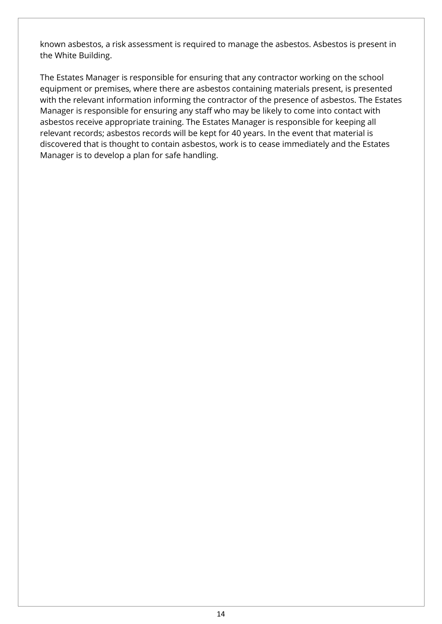known asbestos, a risk assessment is required to manage the asbestos. Asbestos is present in the White Building.

The Estates Manager is responsible for ensuring that any contractor working on the school equipment or premises, where there are asbestos containing materials present, is presented with the relevant information informing the contractor of the presence of asbestos. The Estates Manager is responsible for ensuring any staff who may be likely to come into contact with asbestos receive appropriate training. The Estates Manager is responsible for keeping all relevant records; asbestos records will be kept for 40 years. In the event that material is discovered that is thought to contain asbestos, work is to cease immediately and the Estates Manager is to develop a plan for safe handling.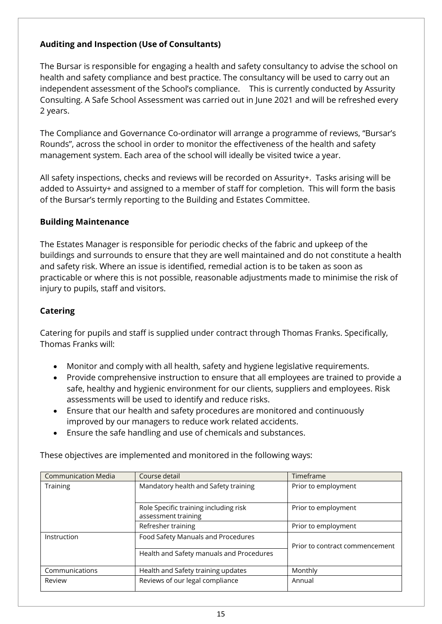# <span id="page-14-0"></span>**Auditing and Inspection (Use of Consultants)**

The Bursar is responsible for engaging a health and safety consultancy to advise the school on health and safety compliance and best practice. The consultancy will be used to carry out an independent assessment of the School's compliance. This is currently conducted by Assurity Consulting. A Safe School Assessment was carried out in June 2021 and will be refreshed every 2 years.

The Compliance and Governance Co-ordinator will arrange a programme of reviews, "Bursar's Rounds", across the school in order to monitor the effectiveness of the health and safety management system. Each area of the school will ideally be visited twice a year.

All safety inspections, checks and reviews will be recorded on Assurity+. Tasks arising will be added to Assuirty+ and assigned to a member of staff for completion. This will form the basis of the Bursar's termly reporting to the Building and Estates Committee.

#### <span id="page-14-1"></span>**Building Maintenance**

The Estates Manager is responsible for periodic checks of the fabric and upkeep of the buildings and surrounds to ensure that they are well maintained and do not constitute a health and safety risk. Where an issue is identified, remedial action is to be taken as soon as practicable or where this is not possible, reasonable adjustments made to minimise the risk of injury to pupils, staff and visitors.

# <span id="page-14-2"></span>**Catering**

Catering for pupils and staff is supplied under contract through Thomas Franks. Specifically, Thomas Franks will:

- Monitor and comply with all health, safety and hygiene legislative requirements.
- Provide comprehensive instruction to ensure that all employees are trained to provide a safe, healthy and hygienic environment for our clients, suppliers and employees. Risk assessments will be used to identify and reduce risks.
- Ensure that our health and safety procedures are monitored and continuously improved by our managers to reduce work related accidents.
- Ensure the safe handling and use of chemicals and substances.

These objectives are implemented and monitored in the following ways:

| <b>Communication Media</b> | Course detail                                                | Timeframe                      |  |
|----------------------------|--------------------------------------------------------------|--------------------------------|--|
| <b>Training</b>            | Mandatory health and Safety training                         | Prior to employment            |  |
|                            | Role Specific training including risk<br>assessment training | Prior to employment            |  |
|                            | Refresher training                                           | Prior to employment            |  |
| Instruction                | Food Safety Manuals and Procedures                           | Prior to contract commencement |  |
|                            | Health and Safety manuals and Procedures                     |                                |  |
| Communications             | Health and Safety training updates                           | Monthly                        |  |
| Review                     | Reviews of our legal compliance                              | Annual                         |  |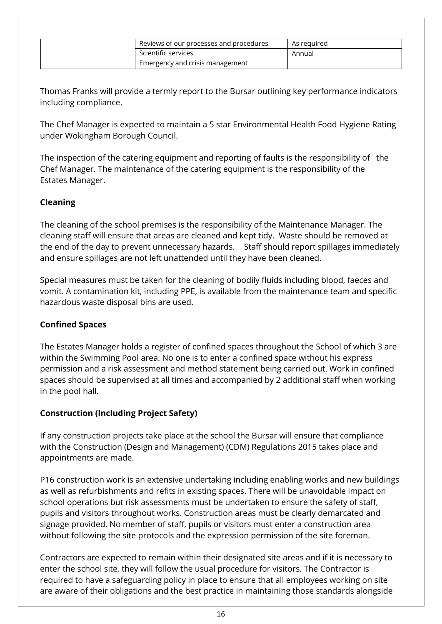| Reviews of our processes and procedures | As reguired |
|-----------------------------------------|-------------|
| Scientific services                     | Annual      |
| Emergency and crisis management         |             |

Thomas Franks will provide a termly report to the Bursar outlining key performance indicators including compliance.

The Chef Manager is expected to maintain a 5 star Environmental Health Food Hygiene Rating under Wokingham Borough Council.

The inspection of the catering equipment and reporting of faults is the responsibility of the Chef Manager. The maintenance of the catering equipment is the responsibility of the Estates Manager.

#### <span id="page-15-0"></span>**Cleaning**

The cleaning of the school premises is the responsibility of the Maintenance Manager. The cleaning staff will ensure that areas are cleaned and kept tidy. Waste should be removed at the end of the day to prevent unnecessary hazards. Staff should report spillages immediately and ensure spillages are not left unattended until they have been cleaned.

Special measures must be taken for the cleaning of bodily fluids including blood, faeces and vomit. A contamination kit, including PPE, is available from the maintenance team and specific hazardous waste disposal bins are used.

#### <span id="page-15-1"></span>**Confined Spaces**

The Estates Manager holds a register of confined spaces throughout the School of which 3 are within the Swimming Pool area. No one is to enter a confined space without his express permission and a risk assessment and method statement being carried out. Work in confined spaces should be supervised at all times and accompanied by 2 additional staff when working in the pool hall.

#### <span id="page-15-2"></span>**Construction (Including Project Safety)**

If any construction projects take place at the school the Bursar will ensure that compliance with the Construction (Design and Management) (CDM) Regulations 2015 takes place and appointments are made.

P16 construction work is an extensive undertaking including enabling works and new buildings as well as refurbishments and refits in existing spaces. There will be unavoidable impact on school operations but risk assessments must be undertaken to ensure the safety of staff, pupils and visitors throughout works. Construction areas must be clearly demarcated and signage provided. No member of staff, pupils or visitors must enter a construction area without following the site protocols and the expression permission of the site foreman.

Contractors are expected to remain within their designated site areas and if it is necessary to enter the school site, they will follow the usual procedure for visitors. The Contractor is required to have a safeguarding policy in place to ensure that all employees working on site are aware of their obligations and the best practice in maintaining those standards alongside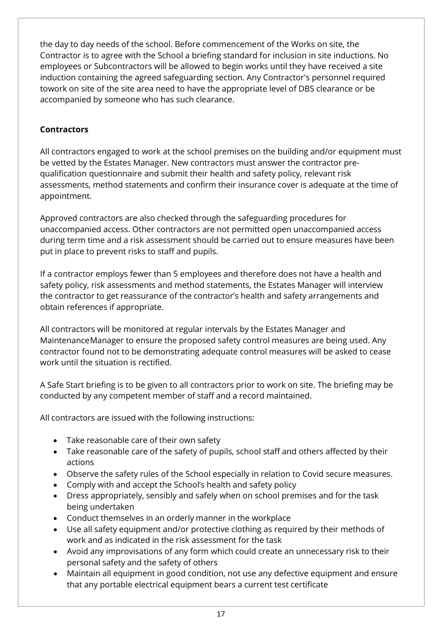the day to day needs of the school. Before commencement of the Works on site, the Contractor is to agree with the School a briefing standard for inclusion in site inductions. No employees or Subcontractors will be allowed to begin works until they have received a site induction containing the agreed safeguarding section. Any Contractor's personnel required towork on site of the site area need to have the appropriate level of DBS clearance or be accompanied by someone who has such clearance.

# <span id="page-16-0"></span>**Contractors**

All contractors engaged to work at the school premises on the building and/or equipment must be vetted by the Estates Manager. New contractors must answer the contractor prequalification questionnaire and submit their health and safety policy, relevant risk assessments, method statements and confirm their insurance cover is adequate at the time of appointment.

Approved contractors are also checked through the safeguarding procedures for unaccompanied access. Other contractors are not permitted open unaccompanied access during term time and a risk assessment should be carried out to ensure measures have been put in place to prevent risks to staff and pupils.

If a contractor employs fewer than 5 employees and therefore does not have a health and safety policy, risk assessments and method statements, the Estates Manager will interview the contractor to get reassurance of the contractor's health and safety arrangements and obtain references if appropriate.

All contractors will be monitored at regular intervals by the Estates Manager and Maintenance Manager to ensure the proposed safety control measures are being used. Any contractor found not to be demonstrating adequate control measures will be asked to cease work until the situation is rectified.

A Safe Start briefing is to be given to all contractors prior to work on site. The briefing may be conducted by any competent member of staff and a record maintained.

All contractors are issued with the following instructions:

- Take reasonable care of their own safety
- Take reasonable care of the safety of pupils, school staff and others affected by their actions
- Observe the safety rules of the School especially in relation to Covid secure measures.
- Comply with and accept the School's health and safety policy
- Dress appropriately, sensibly and safely when on school premises and for the task being undertaken
- Conduct themselves in an orderly manner in the workplace
- Use all safety equipment and/or protective clothing as required by their methods of work and as indicated in the risk assessment for the task
- Avoid any improvisations of any form which could create an unnecessary risk to their personal safety and the safety of others
- Maintain all equipment in good condition, not use any defective equipment and ensure that any portable electrical equipment bears a current test certificate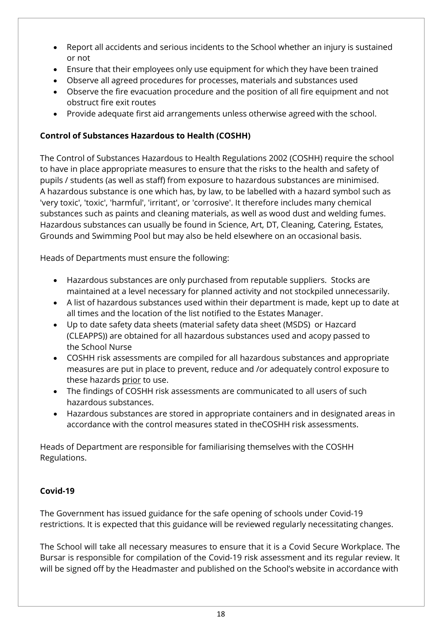- Report all accidents and serious incidents to the School whether an injury is sustained or not
- Ensure that their employees only use equipment for which they have been trained
- Observe all agreed procedures for processes, materials and substances used
- Observe the fire evacuation procedure and the position of all fire equipment and not obstruct fire exit routes
- Provide adequate first aid arrangements unless otherwise agreed with the school.

# <span id="page-17-0"></span>**Control of Substances Hazardous to Health (COSHH)**

The Control of Substances Hazardous to Health Regulations 2002 (COSHH) require the school to have in place appropriate measures to ensure that the risks to the health and safety of pupils / students (as well as staff) from exposure to hazardous substances are minimised. A hazardous substance is one which has, by law, to be labelled with a hazard symbol such as 'very toxic', 'toxic', 'harmful', 'irritant', or 'corrosive'. It therefore includes many chemical substances such as paints and cleaning materials, as well as wood dust and welding fumes. Hazardous substances can usually be found in Science, Art, DT, Cleaning, Catering, Estates, Grounds and Swimming Pool but may also be held elsewhere on an occasional basis.

Heads of Departments must ensure the following:

- Hazardous substances are only purchased from reputable suppliers. Stocks are maintained at a level necessary for planned activity and not stockpiled unnecessarily.
- A list of hazardous substances used within their department is made, kept up to date at all times and the location of the list notified to the Estates Manager.
- Up to date safety data sheets (material safety data sheet (MSDS) or Hazcard (CLEAPPS)) are obtained for all hazardous substances used and acopy passed to the School Nurse
- COSHH risk assessments are compiled for all hazardous substances and appropriate measures are put in place to prevent, reduce and /or adequately control exposure to these hazards prior to use.
- The findings of COSHH risk assessments are communicated to all users of such hazardous substances.
- Hazardous substances are stored in appropriate containers and in designated areas in accordance with the control measures stated in theCOSHH risk assessments.

Heads of Department are responsible for familiarising themselves with the COSHH Regulations.

# <span id="page-17-1"></span>**Covid-19**

The Government has issued guidance for the safe opening of schools under Covid-19 restrictions. It is expected that this guidance will be reviewed regularly necessitating changes.

The School will take all necessary measures to ensure that it is a Covid Secure Workplace. The Bursar is responsible for compilation of the Covid-19 risk assessment and its regular review. It will be signed off by the Headmaster and published on the School's website in accordance with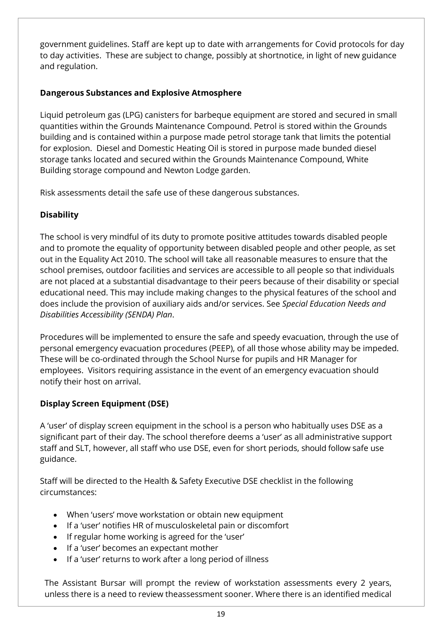government guidelines. Staff are kept up to date with arrangements for Covid protocols for day to day activities. These are subject to change, possibly at shortnotice, in light of new guidance and regulation.

# <span id="page-18-0"></span>**Dangerous Substances and Explosive Atmosphere**

Liquid petroleum gas (LPG) canisters for barbeque equipment are stored and secured in small quantities within the Grounds Maintenance Compound. Petrol is stored within the Grounds building and is contained within a purpose made petrol storage tank that limits the potential for explosion. Diesel and Domestic Heating Oil is stored in purpose made bunded diesel storage tanks located and secured within the Grounds Maintenance Compound, White Building storage compound and Newton Lodge garden.

Risk assessments detail the safe use of these dangerous substances.

# <span id="page-18-1"></span>**Disability**

The school is very mindful of its duty to promote positive attitudes towards disabled people and to promote the equality of opportunity between disabled people and other people, as set out in the Equality Act 2010. The school will take all reasonable measures to ensure that the school premises, outdoor facilities and services are accessible to all people so that individuals are not placed at a substantial disadvantage to their peers because of their disability or special educational need. This may include making changes to the physical features of the school and does include the provision of auxiliary aids and/or services. See *Special Education Needs and Disabilities Accessibility (SENDA) Plan*.

Procedures will be implemented to ensure the safe and speedy evacuation, through the use of personal emergency evacuation procedures (PEEP), of all those whose ability may be impeded. These will be co-ordinated through the School Nurse for pupils and HR Manager for employees. Visitors requiring assistance in the event of an emergency evacuation should notify their host on arrival.

# <span id="page-18-2"></span>**Display Screen Equipment (DSE)**

A 'user' of display screen equipment in the school is a person who habitually uses DSE as a significant part of their day. The school therefore deems a 'user' as all administrative support staff and SLT, however, all staff who use DSE, even for short periods, should follow safe use guidance.

Staff will be directed to the Health & Safety Executive DSE checklist in the following circumstances:

- When 'users' move workstation or obtain new equipment
- If a 'user' notifies HR of musculoskeletal pain or discomfort
- If regular home working is agreed for the 'user'
- If a 'user' becomes an expectant mother
- If a 'user' returns to work after a long period of illness

The Assistant Bursar will prompt the review of workstation assessments every 2 years, unless there is a need to review theassessment sooner. Where there is an identified medical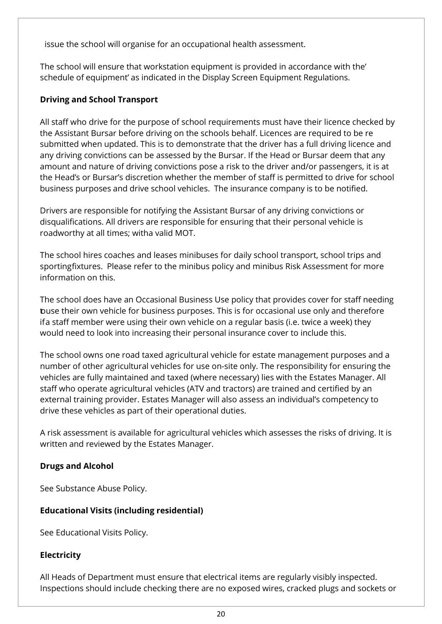issue the school will organise for an occupational health assessment.

The school will ensure that workstation equipment is provided in accordance with the' schedule of equipment' as indicated in the Display Screen Equipment Regulations.

# <span id="page-19-0"></span>**Driving and School Transport**

All staff who drive for the purpose of school requirements must have their licence checked by the Assistant Bursar before driving on the schools behalf. Licences are required to be re submitted when updated. This is to demonstrate that the driver has a full driving licence and any driving convictions can be assessed by the Bursar. If the Head or Bursar deem that any amount and nature of driving convictions pose a risk to the driver and/or passengers, it is at the Head's or Bursar's discretion whether the member of staff is permitted to drive for school business purposes and drive school vehicles. The insurance company is to be notified.

Drivers are responsible for notifying the Assistant Bursar of any driving convictions or disqualifications. All drivers are responsible for ensuring that their personal vehicle is roadworthy at all times; witha valid MOT.

The school hires coaches and leases minibuses for daily school transport, school trips and sportingfixtures. Please refer to the minibus policy and minibus Risk Assessment for more information on this.

The school does have an Occasional Business Use policy that provides cover for staff needing touse their own vehicle for business purposes. This is for occasional use only and therefore if a staff member were using their own vehicle on a regular basis (i.e. twice a week) they would need to look into increasing their personal insurance cover to include this.

The school owns one road taxed agricultural vehicle for estate management purposes and a number of other agricultural vehicles for use on-site only. The responsibility for ensuring the vehicles are fully maintained and taxed (where necessary) lies with the Estates Manager. All staff who operate agricultural vehicles (ATV and tractors) are trained and certified by an external training provider. Estates Manager will also assess an individual's competency to drive these vehicles as part of their operational duties.

A risk assessment is available for agricultural vehicles which assesses the risks of driving. It is written and reviewed by the Estates Manager.

# <span id="page-19-1"></span>**Drugs and Alcohol**

See Substance Abuse Policy.

# <span id="page-19-2"></span>**Educational Visits (including residential)**

See Educational Visits Policy.

# <span id="page-19-3"></span>**Electricity**

All Heads of Department must ensure that electrical items are regularly visibly inspected. Inspections should include checking there are no exposed wires, cracked plugs and sockets or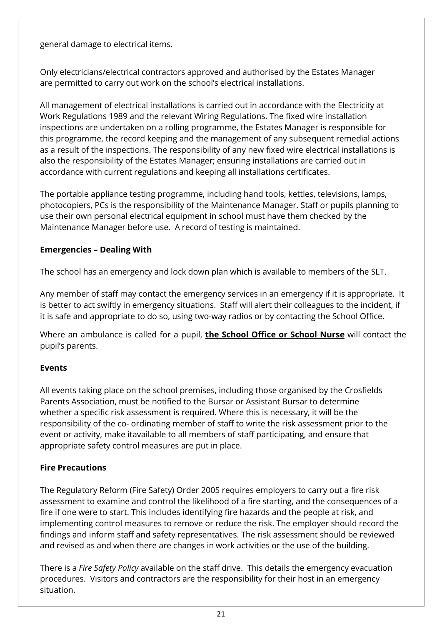general damage to electrical items.

Only electricians/electrical contractors approved and authorised by the Estates Manager are permitted to carry out work on the school's electrical installations.

All management of electrical installations is carried out in accordance with the Electricity at Work Regulations 1989 and the relevant Wiring Regulations. The fixed wire installation inspections are undertaken on a rolling programme, the Estates Manager is responsible for this programme, the record keeping and the management of any subsequent remedial actions as a result of the inspections. The responsibility of any new fixed wire electrical installations is also the responsibility of the Estates Manager; ensuring installations are carried out in accordance with current regulations and keeping all installations certificates.

The portable appliance testing programme, including hand tools, kettles, televisions, lamps, photocopiers, PCs is the responsibility of the Maintenance Manager. Staff or pupils planning to use their own personal electrical equipment in school must have them checked by the Maintenance Manager before use. A record of testing is maintained.

# <span id="page-20-0"></span>**Emergencies – Dealing With**

The school has an emergency and lock down plan which is available to members of the SLT.

Any member of staff may contact the emergency services in an emergency if it is appropriate. It is better to act swiftly in emergency situations. Staff will alert their colleagues to the incident, if it is safe and appropriate to do so, using two-way radios or by contacting the School Office.

Where an ambulance is called for a pupil, **the School Office or School Nurse** will contact the pupil's parents.

# <span id="page-20-1"></span>**Events**

All events taking place on the school premises, including those organised by the Crosfields Parents Association, must be notified to the Bursar or Assistant Bursar to determine whether a specific risk assessment is required. Where this is necessary, it will be the responsibility of the co- ordinating member of staff to write the risk assessment prior to the event or activity, make itavailable to all members of staff participating, and ensure that appropriate safety control measures are put in place.

# <span id="page-20-2"></span>**Fire Precautions**

The Regulatory Reform (Fire Safety) Order 2005 requires employers to carry out a fire risk assessment to examine and control the likelihood of a fire starting, and the consequences of a fire if one were to start. This includes identifying fire hazards and the people at risk, and implementing control measures to remove or reduce the risk. The employer should record the findings and inform staff and safety representatives. The risk assessment should be reviewed and revised as and when there are changes in work activities or the use of the building.

There is a *Fire Safety Policy* available on the staff drive. This details the emergency evacuation procedures. Visitors and contractors are the responsibility for their host in an emergency situation.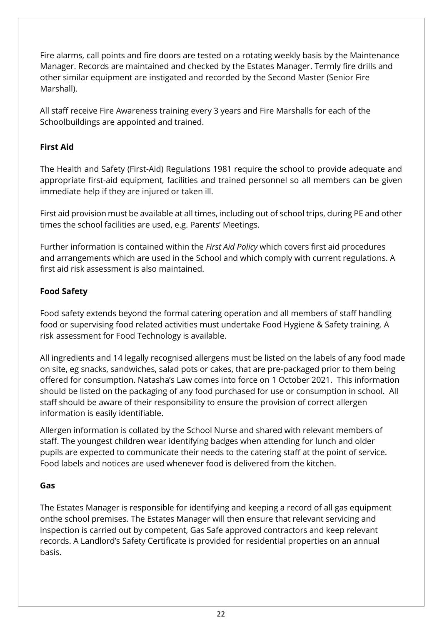Fire alarms, call points and fire doors are tested on a rotating weekly basis by the Maintenance Manager. Records are maintained and checked by the Estates Manager. Termly fire drills and other similar equipment are instigated and recorded by the Second Master (Senior Fire Marshall).

All staff receive Fire Awareness training every 3 years and Fire Marshalls for each of the Schoolbuildings are appointed and trained.

# <span id="page-21-0"></span>**First Aid**

The Health and Safety (First-Aid) Regulations 1981 require the school to provide adequate and appropriate first-aid equipment, facilities and trained personnel so all members can be given immediate help if they are injured or taken ill.

First aid provision must be available at all times, including out of school trips, during PE and other times the school facilities are used, e.g. Parents' Meetings.

Further information is contained within the *First Aid Policy* which covers first aid procedures and arrangements which are used in the School and which comply with current regulations. A first aid risk assessment is also maintained.

# <span id="page-21-1"></span>**Food Safety**

Food safety extends beyond the formal catering operation and all members of staff handling food or supervising food related activities must undertake Food Hygiene & Safety training. A risk assessment for Food Technology is available.

All ingredients and 14 legally recognised allergens must be listed on the labels of any food made on site, eg snacks, sandwiches, salad pots or cakes, that are pre-packaged prior to them being offered for consumption. Natasha's Law comes into force on 1 October 2021. This information should be listed on the packaging of any food purchased for use or consumption in school. All staff should be aware of their responsibility to ensure the provision of correct allergen information is easily identifiable.

Allergen information is collated by the School Nurse and shared with relevant members of staff. The youngest children wear identifying badges when attending for lunch and older pupils are expected to communicate their needs to the catering staff at the point of service. Food labels and notices are used whenever food is delivered from the kitchen.

# <span id="page-21-2"></span>**Gas**

The Estates Manager is responsible for identifying and keeping a record of all gas equipment onthe school premises. The Estates Manager will then ensure that relevant servicing and inspection is carried out by competent, Gas Safe approved contractors and keep relevant records. A Landlord's Safety Certificate is provided for residential properties on an annual basis.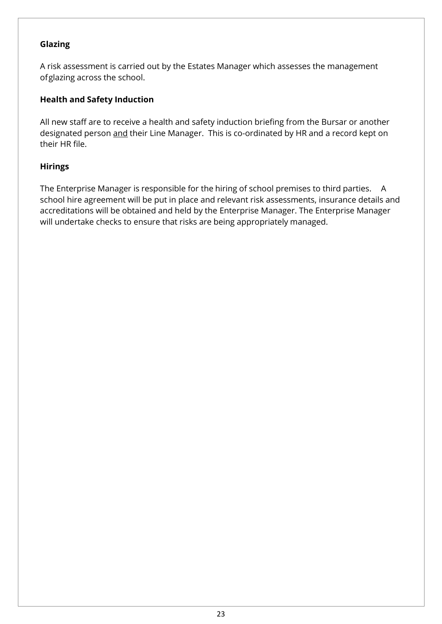### <span id="page-22-0"></span>**Glazing**

A risk assessment is carried out by the Estates Manager which assesses the management of glazing across the school.

#### <span id="page-22-1"></span>**Health and Safety Induction**

All new staff are to receive a health and safety induction briefing from the Bursar or another designated person and their Line Manager. This is co-ordinated by HR and a record kept on their HR file.

#### <span id="page-22-2"></span>**Hirings**

The Enterprise Manager is responsible for the hiring of school premises to third parties. A school hire agreement will be put in place and relevant risk assessments, insurance details and accreditations will be obtained and held by the Enterprise Manager. The Enterprise Manager will undertake checks to ensure that risks are being appropriately managed.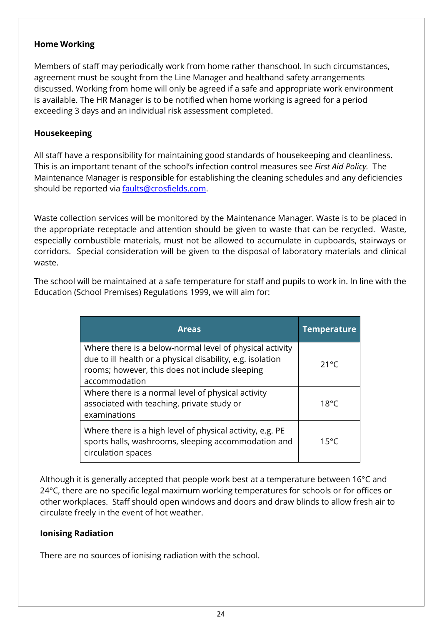#### <span id="page-23-0"></span>**Home Working**

Members of staff may periodically work from home rather thanschool. In such circumstances, agreement must be sought from the Line Manager and healthand safety arrangements discussed. Working from home will only be agreed if a safe and appropriate work environment is available. The HR Manager is to be notified when home working is agreed for a period exceeding 3 days and an individual risk assessment completed.

### <span id="page-23-1"></span>**Housekeeping**

All staff have a responsibility for maintaining good standards of housekeeping and cleanliness. This is an important tenant of the school's infection control measures see *First Aid Policy.* The Maintenance Manager is responsible for establishing the cleaning schedules and any deficiencies should be reported via **faults@crosfields.com**.

Waste collection services will be monitored by the Maintenance Manager. Waste is to be placed in the appropriate receptacle and attention should be given to waste that can be recycled. Waste, especially combustible materials, must not be allowed to accumulate in cupboards, stairways or corridors. Special consideration will be given to the disposal of laboratory materials and clinical waste.

The school will be maintained at a safe temperature for staff and pupils to work in. In line with the Education (School Premises) Regulations 1999, we will aim for:

| <b>Areas</b>                                                                                                                                                                              | <b>Temperature</b> |
|-------------------------------------------------------------------------------------------------------------------------------------------------------------------------------------------|--------------------|
| Where there is a below-normal level of physical activity<br>due to ill health or a physical disability, e.g. isolation<br>rooms; however, this does not include sleeping<br>accommodation | $21^{\circ}$ C     |
| Where there is a normal level of physical activity<br>associated with teaching, private study or<br>examinations                                                                          | $18^{\circ}$ C     |
| Where there is a high level of physical activity, e.g. PE<br>sports halls, washrooms, sleeping accommodation and<br>circulation spaces                                                    | $15^{\circ}$ C     |

Although it is generally accepted that people work best at a temperature between 16°C and 24°C, there are no specific legal maximum working temperatures for schools or for offices or other workplaces. Staff should open windows and doors and draw blinds to allow fresh air to circulate freely in the event of hot weather.

#### <span id="page-23-2"></span>**Ionising Radiation**

There are no sources of ionising radiation with the school.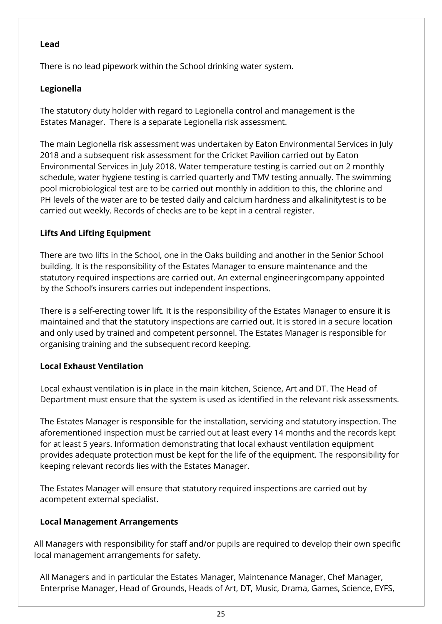#### <span id="page-24-0"></span>**Lead**

There is no lead pipework within the School drinking water system.

# <span id="page-24-1"></span>**Legionella**

The statutory duty holder with regard to Legionella control and management is the Estates Manager. There is a separate Legionella risk assessment.

The main Legionella risk assessment was undertaken by Eaton Environmental Services in July 2018 and a subsequent risk assessment for the Cricket Pavilion carried out by Eaton Environmental Services in July 2018. Water temperature testing is carried out on 2 monthly schedule, water hygiene testing is carried quarterly and TMV testing annually. The swimming pool microbiological test are to be carried out monthly in addition to this, the chlorine and PH levels of the water are to be tested daily and calcium hardness and alkalinitytest is to be carried out weekly. Records of checks are to be kept in a central register.

# <span id="page-24-2"></span>**Lifts And Lifting Equipment**

There are two lifts in the School, one in the Oaks building and another in the Senior School building. It is the responsibility of the Estates Manager to ensure maintenance and the statutory required inspections are carried out. An external engineeringcompany appointed by the School's insurers carries out independent inspections.

There is a self-erecting tower lift. It is the responsibility of the Estates Manager to ensure it is maintained and that the statutory inspections are carried out. It is stored in a secure location and only used by trained and competent personnel. The Estates Manager is responsible for organising training and the subsequent record keeping.

# <span id="page-24-3"></span>**Local Exhaust Ventilation**

Local exhaust ventilation is in place in the main kitchen, Science, Art and DT. The Head of Department must ensure that the system is used as identified in the relevant risk assessments.

The Estates Manager is responsible for the installation, servicing and statutory inspection. The aforementioned inspection must be carried out at least every 14 months and the records kept for at least 5 years. Information demonstrating that local exhaust ventilation equipment provides adequate protection must be kept for the life of the equipment. The responsibility for keeping relevant records lies with the Estates Manager.

The Estates Manager will ensure that statutory required inspections are carried out by acompetent external specialist.

# <span id="page-24-4"></span>**Local Management Arrangements**

All Managers with responsibility for staff and/or pupils are required to develop their own specific local management arrangements for safety.

All Managers and in particular the Estates Manager, Maintenance Manager, Chef Manager, Enterprise Manager, Head of Grounds, Heads of Art, DT, Music, Drama, Games, Science, EYFS,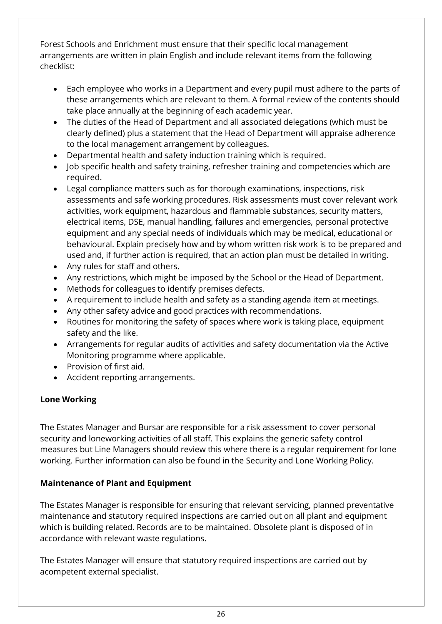Forest Schools and Enrichment must ensure that their specific local management arrangements are written in plain English and include relevant items from the following checklist:

- Each employee who works in a Department and every pupil must adhere to the parts of these arrangements which are relevant to them. A formal review of the contents should take place annually at the beginning of each academic year.
- The duties of the Head of Department and all associated delegations (which must be clearly defined) plus a statement that the Head of Department will appraise adherence to the local management arrangement by colleagues.
- Departmental health and safety induction training which is required.
- Job specific health and safety training, refresher training and competencies which are required.
- Legal compliance matters such as for thorough examinations, inspections, risk assessments and safe working procedures. Risk assessments must cover relevant work activities, work equipment, hazardous and flammable substances, security matters, electrical items, DSE, manual handling, failures and emergencies, personal protective equipment and any special needs of individuals which may be medical, educational or behavioural. Explain precisely how and by whom written risk work is to be prepared and used and, if further action is required, that an action plan must be detailed in writing.
- Any rules for staff and others.
- Any restrictions, which might be imposed by the School or the Head of Department.
- Methods for colleagues to identify premises defects.
- A requirement to include health and safety as a standing agenda item at meetings.
- Any other safety advice and good practices with recommendations.
- Routines for monitoring the safety of spaces where work is taking place, equipment safety and the like.
- Arrangements for regular audits of activities and safety documentation via the Active Monitoring programme where applicable.
- Provision of first aid.
- Accident reporting arrangements.

# <span id="page-25-0"></span>**Lone Working**

The Estates Manager and Bursar are responsible for a risk assessment to cover personal security and loneworking activities of all staff. This explains the generic safety control measures but Line Managers should review this where there is a regular requirement for lone working. Further information can also be found in the Security and Lone Working Policy.

# <span id="page-25-1"></span>**Maintenance of Plant and Equipment**

The Estates Manager is responsible for ensuring that relevant servicing, planned preventative maintenance and statutory required inspections are carried out on all plant and equipment which is building related. Records are to be maintained. Obsolete plant is disposed of in accordance with relevant waste regulations.

The Estates Manager will ensure that statutory required inspections are carried out by acompetent external specialist.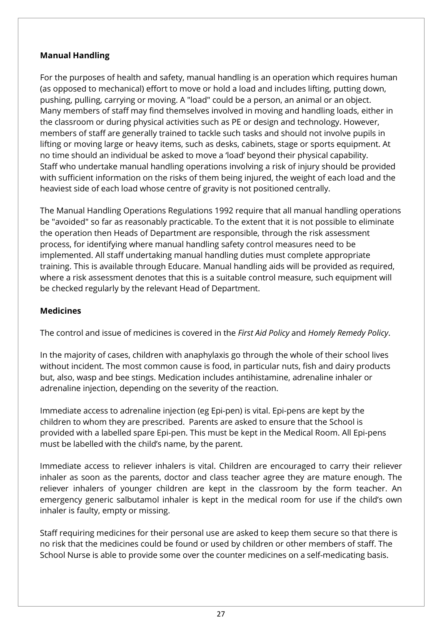# <span id="page-26-0"></span>**Manual Handling**

For the purposes of health and safety, manual handling is an operation which requires human (as opposed to mechanical) effort to move or hold a load and includes lifting, putting down, pushing, pulling, carrying or moving. A "load" could be a person, an animal or an object. Many members of staff may find themselves involved in moving and handling loads, either in the classroom or during physical activities such as PE or design and technology. However, members of staff are generally trained to tackle such tasks and should not involve pupils in lifting or moving large or heavy items, such as desks, cabinets, stage or sports equipment. At no time should an individual be asked to move a 'load' beyond their physical capability. Staff who undertake manual handling operations involving a risk of injury should be provided with sufficient information on the risks of them being injured, the weight of each load and the heaviest side of each load whose centre of gravity is not positioned centrally.

The Manual Handling Operations Regulations 1992 require that all manual handling operations be "avoided" so far as reasonably practicable. To the extent that it is not possible to eliminate the operation then Heads of Department are responsible, through the risk assessment process, for identifying where manual handling safety control measures need to be implemented. All staff undertaking manual handling duties must complete appropriate training. This is available through Educare. Manual handling aids will be provided as required, where a risk assessment denotes that this is a suitable control measure, such equipment will be checked regularly by the relevant Head of Department.

# <span id="page-26-1"></span>**Medicines**

The control and issue of medicines is covered in the *First Aid Policy* and *Homely Remedy Policy*.

In the majority of cases, children with anaphylaxis go through the whole of their school lives without incident. The most common cause is food, in particular nuts, fish and dairy products but, also, wasp and bee stings. Medication includes antihistamine, adrenaline inhaler or adrenaline injection, depending on the severity of the reaction.

Immediate access to adrenaline injection (eg Epi-pen) is vital. Epi-pens are kept by the children to whom they are prescribed. Parents are asked to ensure that the School is provided with a labelled spare Epi-pen. This must be kept in the Medical Room. All Epi-pens must be labelled with the child's name, by the parent.

Immediate access to reliever inhalers is vital. Children are encouraged to carry their reliever inhaler as soon as the parents, doctor and class teacher agree they are mature enough. The reliever inhalers of younger children are kept in the classroom by the form teacher. An emergency generic salbutamol inhaler is kept in the medical room for use if the child's own inhaler is faulty, empty or missing.

Staff requiring medicines for their personal use are asked to keep them secure so that there is no risk that the medicines could be found or used by children or other members of staff. The School Nurse is able to provide some over the counter medicines on a self-medicating basis.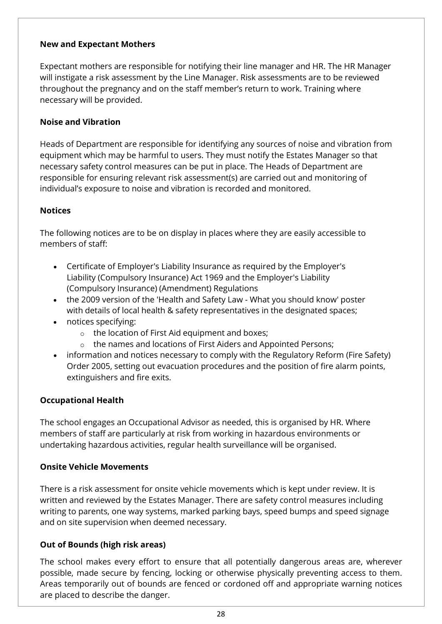#### <span id="page-27-0"></span>**New and Expectant Mothers**

Expectant mothers are responsible for notifying their line manager and HR. The HR Manager will instigate a risk assessment by the Line Manager. Risk assessments are to be reviewed throughout the pregnancy and on the staff member's return to work. Training where necessary will be provided.

#### <span id="page-27-1"></span>**Noise and Vibration**

Heads of Department are responsible for identifying any sources of noise and vibration from equipment which may be harmful to users. They must notify the Estates Manager so that necessary safety control measures can be put in place. The Heads of Department are responsible for ensuring relevant risk assessment(s) are carried out and monitoring of individual's exposure to noise and vibration is recorded and monitored.

#### <span id="page-27-2"></span>**Notices**

The following notices are to be on display in places where they are easily accessible to members of staff:

- Certificate of Employer's Liability Insurance as required by the Employer's Liability (Compulsory Insurance) Act 1969 and the Employer's Liability (Compulsory Insurance) (Amendment) Regulations
- the 2009 version of the 'Health and Safety Law What you should know' poster with details of local health & safety representatives in the designated spaces;
- notices specifying:
	- o the location of First Aid equipment and boxes;
	- o the names and locations of First Aiders and Appointed Persons;
- information and notices necessary to comply with the Regulatory Reform (Fire Safety) Order 2005, setting out evacuation procedures and the position of fire alarm points, extinguishers and fire exits.

#### <span id="page-27-3"></span>**Occupational Health**

The school engages an Occupational Advisor as needed, this is organised by HR. Where members of staff are particularly at risk from working in hazardous environments or undertaking hazardous activities, regular health surveillance will be organised.

#### <span id="page-27-4"></span>**Onsite Vehicle Movements**

There is a risk assessment for onsite vehicle movements which is kept under review. It is written and reviewed by the Estates Manager. There are safety control measures including writing to parents, one way systems, marked parking bays, speed bumps and speed signage and on site supervision when deemed necessary.

#### <span id="page-27-5"></span>**Out of Bounds (high risk areas)**

The school makes every effort to ensure that all potentially dangerous areas are, wherever possible, made secure by fencing, locking or otherwise physically preventing access to them. Areas temporarily out of bounds are fenced or cordoned off and appropriate warning notices are placed to describe the danger.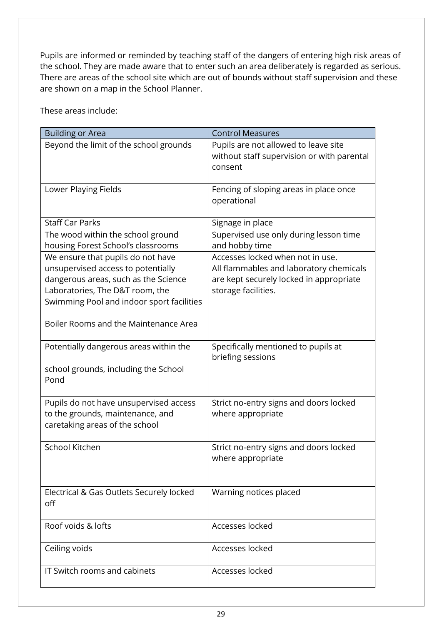Pupils are informed or reminded by teaching staff of the dangers of entering high risk areas of the school. They are made aware that to enter such an area deliberately is regarded as serious. There are areas of the school site which are out of bounds without staff supervision and these are shown on a map in the School Planner.

These areas include:

| <b>Building or Area</b>                                                                                                                                                                                                                  | <b>Control Measures</b>                                                                                                                       |
|------------------------------------------------------------------------------------------------------------------------------------------------------------------------------------------------------------------------------------------|-----------------------------------------------------------------------------------------------------------------------------------------------|
| Beyond the limit of the school grounds                                                                                                                                                                                                   | Pupils are not allowed to leave site<br>without staff supervision or with parental<br>consent                                                 |
| Lower Playing Fields                                                                                                                                                                                                                     | Fencing of sloping areas in place once<br>operational                                                                                         |
| <b>Staff Car Parks</b>                                                                                                                                                                                                                   | Signage in place                                                                                                                              |
| The wood within the school ground<br>housing Forest School's classrooms                                                                                                                                                                  | Supervised use only during lesson time<br>and hobby time                                                                                      |
| We ensure that pupils do not have<br>unsupervised access to potentially<br>dangerous areas, such as the Science<br>Laboratories, The D&T room, the<br>Swimming Pool and indoor sport facilities<br>Boiler Rooms and the Maintenance Area | Accesses locked when not in use.<br>All flammables and laboratory chemicals<br>are kept securely locked in appropriate<br>storage facilities. |
| Potentially dangerous areas within the                                                                                                                                                                                                   | Specifically mentioned to pupils at<br>briefing sessions                                                                                      |
| school grounds, including the School<br>Pond                                                                                                                                                                                             |                                                                                                                                               |
| Pupils do not have unsupervised access<br>to the grounds, maintenance, and<br>caretaking areas of the school                                                                                                                             | Strict no-entry signs and doors locked<br>where appropriate                                                                                   |
| School Kitchen                                                                                                                                                                                                                           | Strict no-entry signs and doors locked<br>where appropriate                                                                                   |
| Electrical & Gas Outlets Securely locked<br>off                                                                                                                                                                                          | Warning notices placed                                                                                                                        |
| Roof voids & lofts                                                                                                                                                                                                                       | Accesses locked                                                                                                                               |
| Ceiling voids                                                                                                                                                                                                                            | Accesses locked                                                                                                                               |
| IT Switch rooms and cabinets                                                                                                                                                                                                             | Accesses locked                                                                                                                               |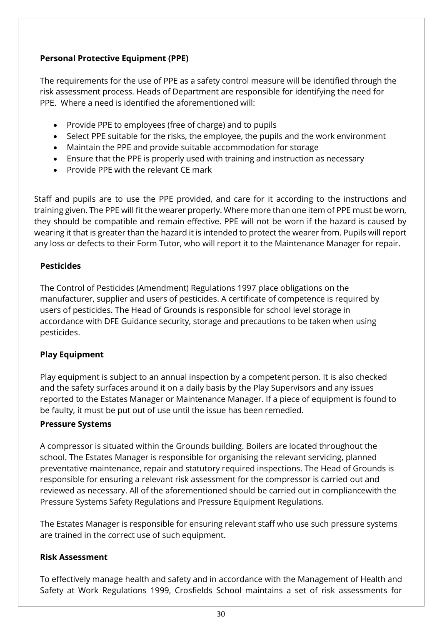# <span id="page-29-0"></span>**Personal Protective Equipment (PPE)**

The requirements for the use of PPE as a safety control measure will be identified through the risk assessment process. Heads of Department are responsible for identifying the need for PPE. Where a need is identified the aforementioned will:

- Provide PPE to employees (free of charge) and to pupils
- Select PPE suitable for the risks, the employee, the pupils and the work environment
- Maintain the PPE and provide suitable accommodation for storage
- Ensure that the PPE is properly used with training and instruction as necessary
- Provide PPE with the relevant CE mark

Staff and pupils are to use the PPE provided, and care for it according to the instructions and training given. The PPE will fit the wearer properly. Where more than one item of PPE must be worn, they should be compatible and remain effective. PPE will not be worn if the hazard is caused by wearing it that is greater than the hazard it is intended to protect the wearer from. Pupils will report any loss or defects to their Form Tutor, who will report it to the Maintenance Manager for repair.

#### <span id="page-29-1"></span>**Pesticides**

The Control of Pesticides (Amendment) Regulations 1997 place obligations on the manufacturer, supplier and users of pesticides. A certificate of competence is required by users of pesticides. The Head of Grounds is responsible for school level storage in accordance with DFE Guidance security, storage and precautions to be taken when using pesticides.

#### <span id="page-29-2"></span>**Play Equipment**

Play equipment is subject to an annual inspection by a competent person. It is also checked and the safety surfaces around it on a daily basis by the Play Supervisors and any issues reported to the Estates Manager or Maintenance Manager. If a piece of equipment is found to be faulty, it must be put out of use until the issue has been remedied.

#### <span id="page-29-3"></span>**Pressure Systems**

A compressor is situated within the Grounds building. Boilers are located throughout the school. The Estates Manager is responsible for organising the relevant servicing, planned preventative maintenance, repair and statutory required inspections. The Head of Grounds is responsible for ensuring a relevant risk assessment for the compressor is carried out and reviewed as necessary. All of the aforementioned should be carried out in compliancewith the Pressure Systems Safety Regulations and Pressure Equipment Regulations.

The Estates Manager is responsible for ensuring relevant staff who use such pressure systems are trained in the correct use of such equipment.

#### <span id="page-29-4"></span>**Risk Assessment**

To effectively manage health and safety and in accordance with the Management of Health and Safety at Work Regulations 1999, Crosfields School maintains a set of risk assessments for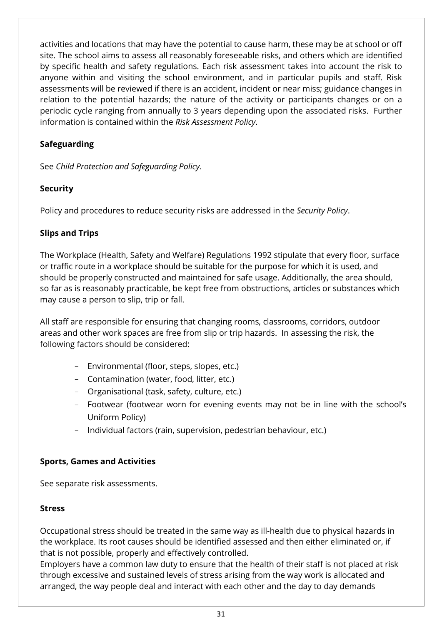activities and locations that may have the potential to cause harm, these may be at school or off site. The school aims to assess all reasonably foreseeable risks, and others which are identified by specific health and safety regulations. Each risk assessment takes into account the risk to anyone within and visiting the school environment, and in particular pupils and staff. Risk assessments will be reviewed if there is an accident, incident or near miss; guidance changes in relation to the potential hazards; the nature of the activity or participants changes or on a periodic cycle ranging from annually to 3 years depending upon the associated risks. Further information is contained within the *Risk Assessment Policy*.

# <span id="page-30-0"></span>**Safeguarding**

See *Child Protection and Safeguarding Policy.*

# <span id="page-30-1"></span>**Security**

Policy and procedures to reduce security risks are addressed in the *Security Policy*.

# <span id="page-30-2"></span>**Slips and Trips**

The Workplace (Health, Safety and Welfare) Regulations 1992 stipulate that every floor, surface or traffic route in a workplace should be suitable for the purpose for which it is used, and should be properly constructed and maintained for safe usage. Additionally, the area should, so far as is reasonably practicable, be kept free from obstructions, articles or substances which may cause a person to slip, trip or fall.

All staff are responsible for ensuring that changing rooms, classrooms, corridors, outdoor areas and other work spaces are free from slip or trip hazards. In assessing the risk, the following factors should be considered:

- Environmental (floor, steps, slopes, etc.)
- Contamination (water, food, litter, etc.)
- Organisational (task, safety, culture, etc.)
- Footwear (footwear worn for evening events may not be in line with the school's Uniform Policy)
- Individual factors (rain, supervision, pedestrian behaviour, etc.)

# <span id="page-30-3"></span>**Sports, Games and Activities**

See separate risk assessments.

# <span id="page-30-4"></span>**Stress**

Occupational stress should be treated in the same way as ill-health due to physical hazards in the workplace. Its root causes should be identified assessed and then either eliminated or, if that is not possible, properly and effectively controlled.

Employers have a common law duty to ensure that the health of their staff is not placed at risk through excessive and sustained levels of stress arising from the way work is allocated and arranged, the way people deal and interact with each other and the day to day demands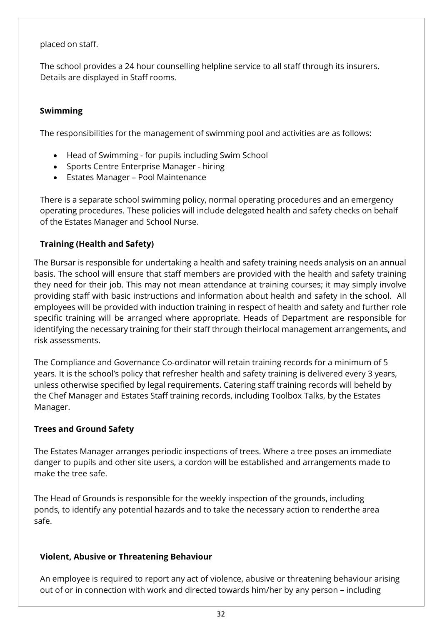#### placed on staff.

The school provides a 24 hour counselling helpline service to all staff through its insurers. Details are displayed in Staff rooms.

# <span id="page-31-0"></span>**Swimming**

The responsibilities for the management of swimming pool and activities are as follows:

- Head of Swimming for pupils including Swim School
- Sports Centre Enterprise Manager hiring
- Estates Manager Pool Maintenance

There is a separate school swimming policy, normal operating procedures and an emergency operating procedures. These policies will include delegated health and safety checks on behalf of the Estates Manager and School Nurse.

# <span id="page-31-1"></span>**Training (Health and Safety)**

The Bursar is responsible for undertaking a health and safety training needs analysis on an annual basis. The school will ensure that staff members are provided with the health and safety training they need for their job. This may not mean attendance at training courses; it may simply involve providing staff with basic instructions and information about health and safety in the school. All employees will be provided with induction training in respect of health and safety and further role specific training will be arranged where appropriate. Heads of Department are responsible for identifying the necessary training for their staff through theirlocal management arrangements, and risk assessments.

The Compliance and Governance Co-ordinator will retain training records for a minimum of 5 years. It is the school's policy that refresher health and safety training is delivered every 3 years, unless otherwise specified by legal requirements. Catering staff training records will beheld by the Chef Manager and Estates Staff training records, including Toolbox Talks, by the Estates Manager.

# <span id="page-31-2"></span>**Trees and Ground Safety**

The Estates Manager arranges periodic inspections of trees. Where a tree poses an immediate danger to pupils and other site users, a cordon will be established and arrangements made to make the tree safe.

The Head of Grounds is responsible for the weekly inspection of the grounds, including ponds, to identify any potential hazards and to take the necessary action to renderthe area safe.

# <span id="page-31-3"></span>**Violent, Abusive or Threatening Behaviour**

An employee is required to report any act of violence, abusive or threatening behaviour arising out of or in connection with work and directed towards him/her by any person – including